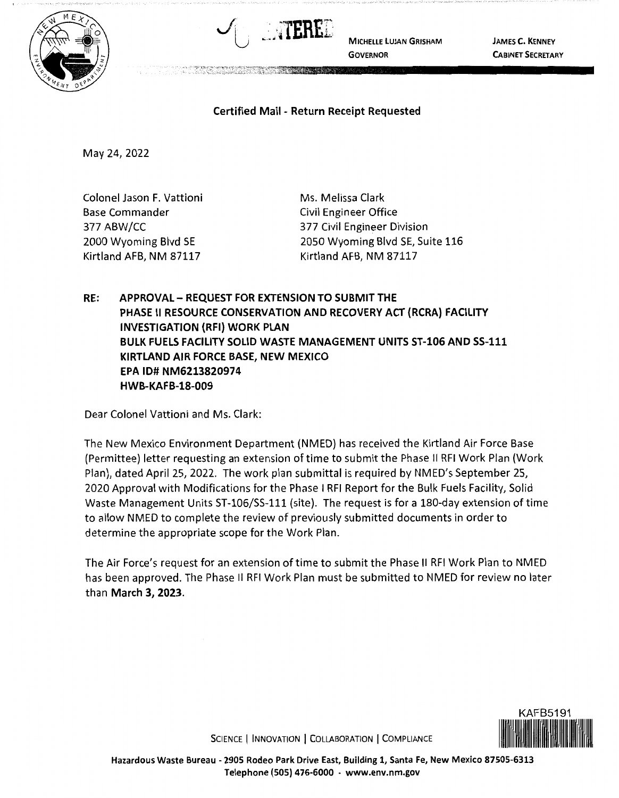



**MICHELLE LUJAN GRISHAM GOVERNOR** 

**JAMES C. KENNEY CABINET SECRETARY** 

## **Certified Mail** - **Return Receipt Requested**

May 24, 2022

Colonel Jason F. Vattioni Base Commander 377 ABW/CC 2000 Wyoming Blvd SE Kirtland AFB, NM 87117

Ms. Melissa Clark Civil Engineer Office 377 Civil Engineer Division 2050 Wyoming Blvd SE, Suite 116 Kirtland AFB, NM 87117

**RE: APPROVAL- REQUEST FOR EXTENSION TO SUBMIT THE PHASE** II **RESOURCE CONSERVATION AND RECOVERY ACT {RCRA) FACILITY INVESTIGATION {RFI) WORK PLAN BULK FUELS FACILITY SOLID WASTE MANAGEMENT UNITS ST-106 AND SS-111 KIRTLAND AIR FORCE BASE, NEW MEXICO EPA ID# NM6213820974 HWB-KAFB-18-009** 

Dear Colonel Vattioni and Ms. Clark:

The New Mexico Environment Department (NMED) has received the Kirtland Air Force Base (Permittee) letter requesting an extension oftime to submit the Phase II RFI Work Plan (Work Plan), dated April 25, 2022. The work plan submittal is required by NMED's September 25, 2020 Approval with Modifications for the Phase I RFI Report for the Bulk Fuels Facility, Solid Waste Management Units ST-106/SS-111 (site). The request is for a 180-day extension of time to allow NMED to complete the review of previously submitted documents in order to determine the appropriate scope for the Work Plan.

The Air Force's request for an extension of time to submit the Phase II RFI Work Plan to NMED has been approved. The Phase II RFI Work Plan must be submitted to NMED for review no later than **March 3, 2023.** 



SCIENCE | INNOVATION | COLLABORATION | COMPLIANCE